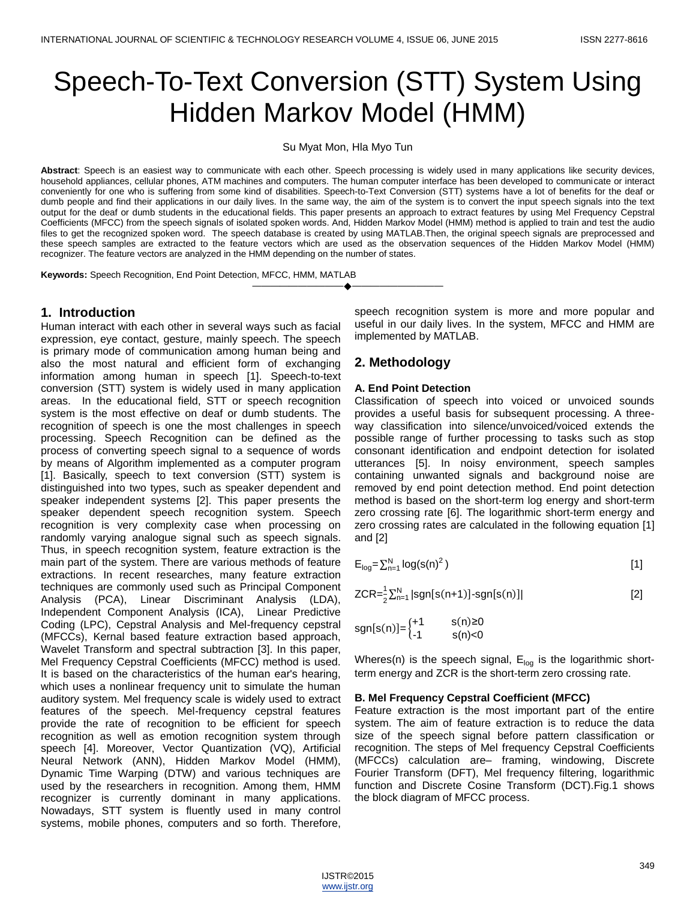# Speech-To-Text Conversion (STT) System Using Hidden Markov Model (HMM)

Su Myat Mon, Hla Myo Tun

**Abstract**: Speech is an easiest way to communicate with each other. Speech processing is widely used in many applications like security devices, household appliances, cellular phones, ATM machines and computers. The human computer interface has been developed to communicate or interact conveniently for one who is suffering from some kind of disabilities. Speech-to-Text Conversion (STT) systems have a lot of benefits for the deaf or dumb people and find their applications in our daily lives. In the same way, the aim of the system is to convert the input speech signals into the text output for the deaf or dumb students in the educational fields. This paper presents an approach to extract features by using Mel Frequency Cepstral Coefficients (MFCC) from the speech signals of isolated spoken words. And, Hidden Markov Model (HMM) method is applied to train and test the audio files to get the recognized spoken word. The speech database is created by using MATLAB.Then, the original speech signals are preprocessed and these speech samples are extracted to the feature vectors which are used as the observation sequences of the Hidden Markov Model (HMM) recognizer. The feature vectors are analyzed in the HMM depending on the number of states.

————————————————————

**Keywords:** Speech Recognition, End Point Detection, MFCC, HMM, MATLAB

# **1. Introduction**

Human interact with each other in several ways such as facial expression, eye contact, gesture, mainly speech. The speech is primary mode of communication among human being and also the most natural and efficient form of exchanging information among human in speech [1]. Speech-to-text conversion (STT) system is widely used in many application areas. In the educational field, STT or speech recognition system is the most effective on deaf or dumb students. The recognition of speech is one the most challenges in speech processing. Speech Recognition can be defined as the process of converting speech signal to a sequence of words by means of Algorithm implemented as a computer program [1]. Basically, speech to text conversion (STT) system is distinguished into two types, such as speaker dependent and speaker independent systems [2]. This paper presents the speaker dependent speech recognition system. Speech recognition is very complexity case when processing on randomly varying analogue signal such as speech signals. Thus, in speech recognition system, feature extraction is the main part of the system. There are various methods of feature extractions. In recent researches, many feature extraction techniques are commonly used such as Principal Component Analysis (PCA), Linear Discriminant Analysis (LDA), Independent Component Analysis (ICA), Linear Predictive Coding (LPC), Cepstral Analysis and Mel-frequency cepstral (MFCCs), Kernal based feature extraction based approach, Wavelet Transform and spectral subtraction [3]. In this paper, Mel Frequency Cepstral Coefficients (MFCC) method is used. It is based on the characteristics of the human ear's hearing, which uses a nonlinear frequency unit to simulate the human auditory system. Mel frequency scale is widely used to extract features of the speech. Mel-frequency cepstral features provide the rate of recognition to be efficient for speech recognition as well as emotion recognition system through speech [4]. Moreover, Vector Quantization (VQ), Artificial Neural Network (ANN), Hidden Markov Model (HMM), Dynamic Time Warping (DTW) and various techniques are used by the researchers in recognition. Among them, HMM recognizer is currently dominant in many applications. Nowadays, STT system is fluently used in many control systems, mobile phones, computers and so forth. Therefore,

speech recognition system is more and more popular and useful in our daily lives. In the system, MFCC and HMM are implemented by MATLAB.

# **2. Methodology**

### **A. End Point Detection**

Classification of speech into voiced or unvoiced sounds provides a useful basis for subsequent processing. A threeway classification into silence/unvoiced/voiced extends the possible range of further processing to tasks such as stop consonant identification and endpoint detection for isolated utterances [5]. In noisy environment, speech samples containing unwanted signals and background noise are removed by end point detection method. End point detection method is based on the short-term log energy and short-term zero crossing rate [6]. The logarithmic short-term energy and zero crossing rates are calculated in the following equation [1] and [2]

$$
E_{log} = \sum_{n=1}^{N} log(s(n)^{2})
$$
 [1]

$$
ZCR = \frac{1}{2} \sum_{n=1}^{N} |sgn[s(n+1)] - sgn[s(n)]|
$$
 [2]

$$
sgn[s(n)] = \begin{cases} +1 & s(n) \ge 0\\ -1 & s(n) < 0 \end{cases}
$$

Wheres(n) is the speech signal,  $E_{log}$  is the logarithmic shortterm energy and ZCR is the short-term zero crossing rate.

#### **B. Mel Frequency Cepstral Coefficient (MFCC)**

Feature extraction is the most important part of the entire system. The aim of feature extraction is to reduce the data size of the speech signal before pattern classification or recognition. The steps of Mel frequency Cepstral Coefficients (MFCCs) calculation are– framing, windowing, Discrete Fourier Transform (DFT), Mel frequency filtering, logarithmic function and Discrete Cosine Transform (DCT).Fig.1 shows the block diagram of MFCC process.

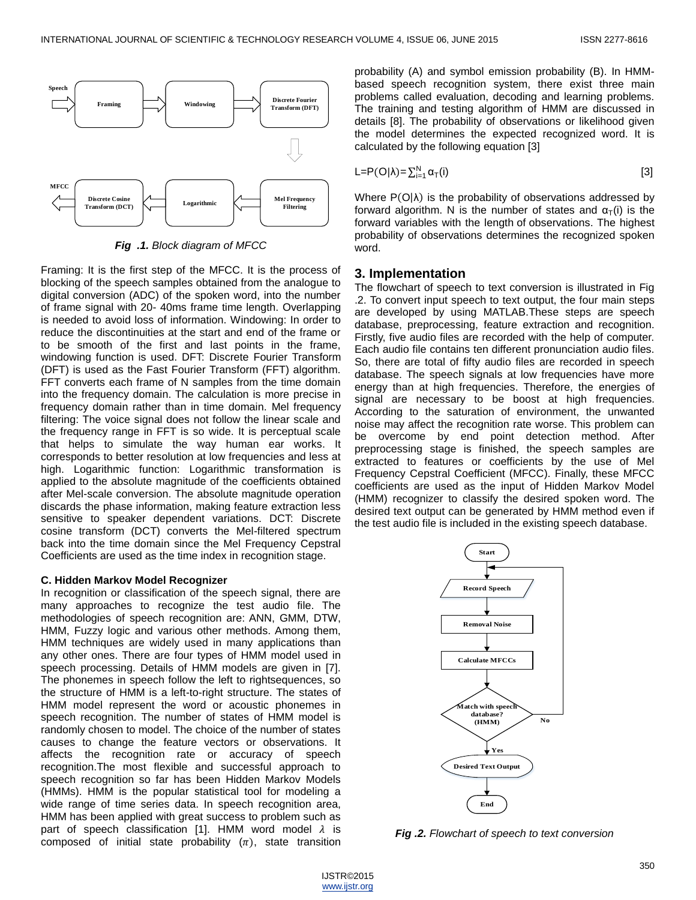

*Fig .1. Block diagram of MFCC*

Framing: It is the first step of the MFCC. It is the process of blocking of the speech samples obtained from the analogue to digital conversion (ADC) of the spoken word, into the number of frame signal with 20- 40ms frame time length. Overlapping is needed to avoid loss of information. Windowing: In order to reduce the discontinuities at the start and end of the frame or to be smooth of the first and last points in the frame, windowing function is used. DFT: Discrete Fourier Transform (DFT) is used as the Fast Fourier Transform (FFT) algorithm. FFT converts each frame of N samples from the time domain into the frequency domain. The calculation is more precise in frequency domain rather than in time domain. Mel frequency filtering: The voice signal does not follow the linear scale and the frequency range in FFT is so wide. It is perceptual scale that helps to simulate the way human ear works. It corresponds to better resolution at low frequencies and less at high. Logarithmic function: Logarithmic transformation is applied to the absolute magnitude of the coefficients obtained after Mel-scale conversion. The absolute magnitude operation discards the phase information, making feature extraction less sensitive to speaker dependent variations. DCT: Discrete cosine transform (DCT) converts the Mel-filtered spectrum back into the time domain since the Mel Frequency Cepstral Coefficients are used as the time index in recognition stage. **Figure 1.2. Figure 1.2. Figure 1.2. Figure 1.2. Figure 2.2. Figure 2. Figure 2.2. Figure 2.2. Figure 2.2. Figure 2.2. Figure 2.2. Figure 2.2. Figure 2.2. Figure 2.2. Figure 2.2. Figure 2.2.** 

#### **C. Hidden Markov Model Recognizer**

In recognition or classification of the speech signal, there are many approaches to recognize the test audio file. The methodologies of speech recognition are: ANN, GMM, DTW, HMM, Fuzzy logic and various other methods. Among them, HMM techniques are widely used in many applications than any other ones. There are four types of HMM model used in speech processing. Details of HMM models are given in [7]. The phonemes in speech follow the left to rightsequences, so the structure of HMM is a left-to-right structure. The states of HMM model represent the word or acoustic phonemes in speech recognition. The number of states of HMM model is randomly chosen to model. The choice of the number of states causes to change the feature vectors or observations. It affects the recognition rate or accuracy of speech recognition.The most flexible and successful approach to speech recognition so far has been Hidden Markov Models (HMMs). HMM is the popular statistical tool for modeling a wide range of time series data. In speech recognition area, HMM has been applied with great success to problem such as part of speech classification [1]. HMM word model  $\lambda$  is composed of initial state probability  $(\pi)$ , state transition

probability (A) and symbol emission probability (B). In HMMbased speech recognition system, there exist three main problems called evaluation, decoding and learning problems. The training and testing algorithm of HMM are discussed in details [8]. The probability of observations or likelihood given the model determines the expected recognized word. It is calculated by the following equation [3]

$$
L = P(O|\lambda) = \sum_{i=1}^{N} \alpha_{T}(i)
$$
 [3]

Where  $P(O|\lambda)$  is the probability of observations addressed by forward algorithm. N is the number of states and  $\alpha_T(i)$  is the forward variables with the length of observations. The highest probability of observations determines the recognized spoken word.

### **3. Implementation**

The flowchart of speech to text conversion is illustrated in Fig .2. To convert input speech to text output, the four main steps are developed by using MATLAB.These steps are speech database, preprocessing, feature extraction and recognition. Firstly, five audio files are recorded with the help of computer. Each audio file contains ten different pronunciation audio files. So, there are total of fifty audio files are recorded in speech database. The speech signals at low frequencies have more energy than at high frequencies. Therefore, the energies of signal are necessary to be boost at high frequencies. According to the saturation of environment, the unwanted noise may affect the recognition rate worse. This problem can be overcome by end point detection method. After preprocessing stage is finished, the speech samples are extracted to features or coefficients by the use of Mel Frequency Cepstral Coefficient (MFCC). Finally, these MFCC coefficients are used as the input of Hidden Markov Model (HMM) recognizer to classify the desired spoken word. The desired text output can be generated by HMM method even if the test audio file is included in the existing speech database.

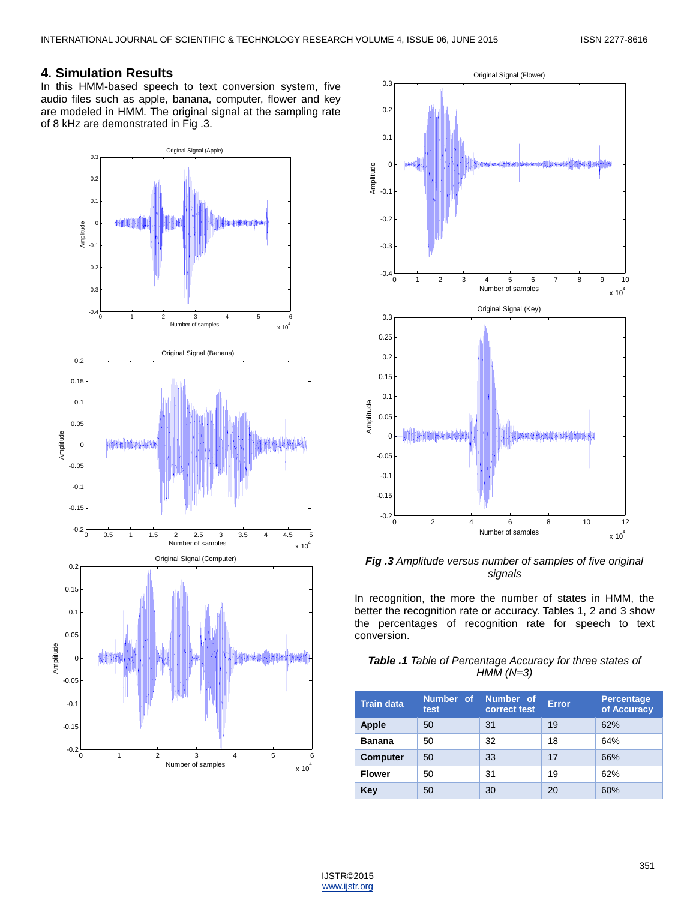# **4. Simulation Results**

In this HMM-based speech to text conversion system, five audio files such as apple, banana, computer, flower and key are modeled in HMM. The original signal at the sampling rate of 8 kHz are demonstrated in Fig .3.





*Fig .3 Amplitude versus number of samples of five original signals*

In recognition, the more the number of states in HMM, the better the recognition rate or accuracy. Tables 1, 2 and 3 show the percentages of recognition rate for speech to text conversion.

## *Table .1 Table of Percentage Accuracy for three states of HMM (N=3)*

| <b>Train data</b> | Number of<br>test | Number of<br>correct test | <b>Error</b> | <b>Percentage</b><br>of Accuracy |
|-------------------|-------------------|---------------------------|--------------|----------------------------------|
| <b>Apple</b>      | 50                | 31                        | 19           | 62%                              |
| <b>Banana</b>     | 50                | 32                        | 18           | 64%                              |
| <b>Computer</b>   | 50                | 33                        | 17           | 66%                              |
| <b>Flower</b>     | 50                | 31                        | 19           | 62%                              |
| Key               | 50                | 30                        | 20           | 60%                              |